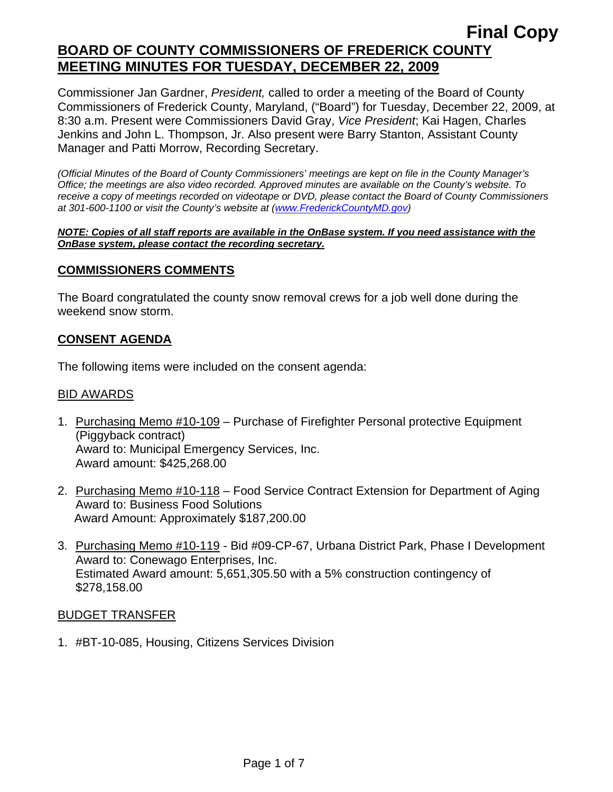Commissioner Jan Gardner, *President,* called to order a meeting of the Board of County Commissioners of Frederick County, Maryland, ("Board") for Tuesday, December 22, 2009, at 8:30 a.m. Present were Commissioners David Gray, *Vice President*; Kai Hagen, Charles Jenkins and John L. Thompson, Jr. Also present were Barry Stanton, Assistant County Manager and Patti Morrow, Recording Secretary.

*(Official Minutes of the Board of County Commissioners' meetings are kept on file in the County Manager's Office; the meetings are also video recorded. Approved minutes are available on the County's website. To receive a copy of meetings recorded on videotape or DVD, please contact the Board of County Commissioners at 301-600-1100 or visit the County's website at ([www.FrederickCountyMD.gov](http://www.frederickcountymd.gov/))* 

#### *NOTE: Copies of all staff reports are available in the OnBase system. If you need assistance with the OnBase system, please contact the recording secretary.*

## **COMMISSIONERS COMMENTS**

The Board congratulated the county snow removal crews for a job well done during the weekend snow storm.

### **CONSENT AGENDA**

The following items were included on the consent agenda:

#### BID AWARDS

- 1. Purchasing Memo #10-109 Purchase of Firefighter Personal protective Equipment (Piggyback contract) Award to: Municipal Emergency Services, Inc. Award amount: \$425,268.00
- 2. Purchasing Memo #10-118 Food Service Contract Extension for Department of Aging Award to: Business Food Solutions Award Amount: Approximately \$187,200.00
- 3. Purchasing Memo #10-119 Bid #09-CP-67, Urbana District Park, Phase I Development Award to: Conewago Enterprises, Inc. Estimated Award amount: 5,651,305.50 with a 5% construction contingency of \$278,158.00

#### BUDGET TRANSFER

1. #BT-10-085, Housing, Citizens Services Division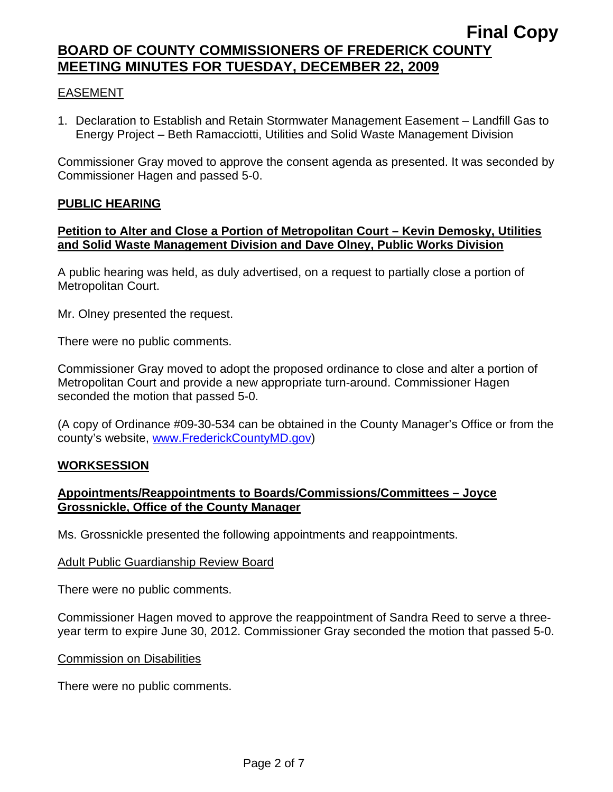# EASEMENT

1. Declaration to Establish and Retain Stormwater Management Easement – Landfill Gas to Energy Project – Beth Ramacciotti, Utilities and Solid Waste Management Division

Commissioner Gray moved to approve the consent agenda as presented. It was seconded by Commissioner Hagen and passed 5-0.

## **PUBLIC HEARING**

### **Petition to Alter and Close a Portion of Metropolitan Court – Kevin Demosky, Utilities and Solid Waste Management Division and Dave Olney, Public Works Division**

A public hearing was held, as duly advertised, on a request to partially close a portion of Metropolitan Court.

Mr. Olney presented the request.

There were no public comments.

Commissioner Gray moved to adopt the proposed ordinance to close and alter a portion of Metropolitan Court and provide a new appropriate turn-around. Commissioner Hagen seconded the motion that passed 5-0.

(A copy of Ordinance #09-30-534 can be obtained in the County Manager's Office or from the county's website, [www.FrederickCountyMD.gov\)](http://www.frederickcountymd.gov/)

## **WORKSESSION**

## **Appointments/Reappointments to Boards/Commissions/Committees – Joyce Grossnickle, Office of the County Manager**

Ms. Grossnickle presented the following appointments and reappointments.

#### Adult Public Guardianship Review Board

There were no public comments.

Commissioner Hagen moved to approve the reappointment of Sandra Reed to serve a threeyear term to expire June 30, 2012. Commissioner Gray seconded the motion that passed 5-0.

#### Commission on Disabilities

There were no public comments.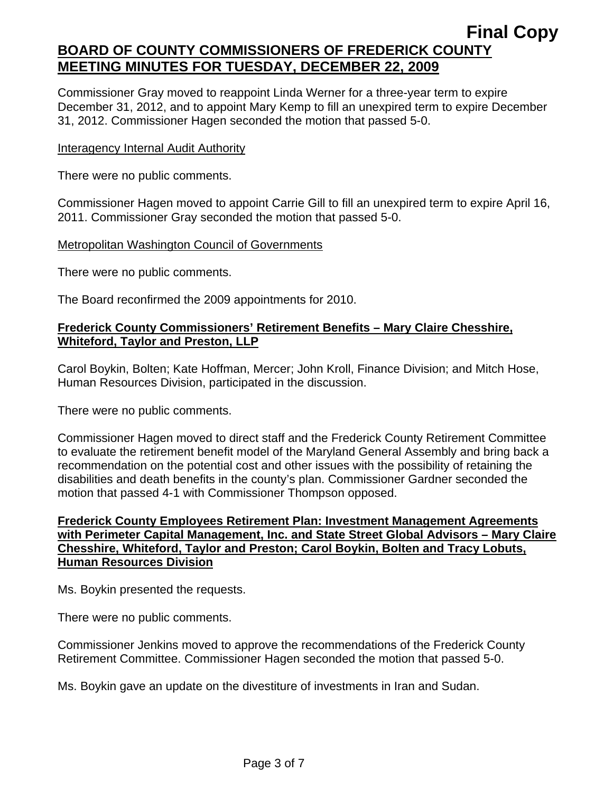Commissioner Gray moved to reappoint Linda Werner for a three-year term to expire December 31, 2012, and to appoint Mary Kemp to fill an unexpired term to expire December 31, 2012. Commissioner Hagen seconded the motion that passed 5-0.

### Interagency Internal Audit Authority

There were no public comments.

Commissioner Hagen moved to appoint Carrie Gill to fill an unexpired term to expire April 16, 2011. Commissioner Gray seconded the motion that passed 5-0.

### Metropolitan Washington Council of Governments

There were no public comments.

The Board reconfirmed the 2009 appointments for 2010.

## **Frederick County Commissioners' Retirement Benefits – Mary Claire Chesshire, Whiteford, Taylor and Preston, LLP**

Carol Boykin, Bolten; Kate Hoffman, Mercer; John Kroll, Finance Division; and Mitch Hose, Human Resources Division, participated in the discussion.

There were no public comments.

Commissioner Hagen moved to direct staff and the Frederick County Retirement Committee to evaluate the retirement benefit model of the Maryland General Assembly and bring back a recommendation on the potential cost and other issues with the possibility of retaining the disabilities and death benefits in the county's plan. Commissioner Gardner seconded the motion that passed 4-1 with Commissioner Thompson opposed.

## **Frederick County Employees Retirement Plan: Investment Management Agreements with Perimeter Capital Management, Inc. and State Street Global Advisors – Mary Claire Chesshire, Whiteford, Taylor and Preston; Carol Boykin, Bolten and Tracy Lobuts, Human Resources Division**

Ms. Boykin presented the requests.

There were no public comments.

Commissioner Jenkins moved to approve the recommendations of the Frederick County Retirement Committee. Commissioner Hagen seconded the motion that passed 5-0.

Ms. Boykin gave an update on the divestiture of investments in Iran and Sudan.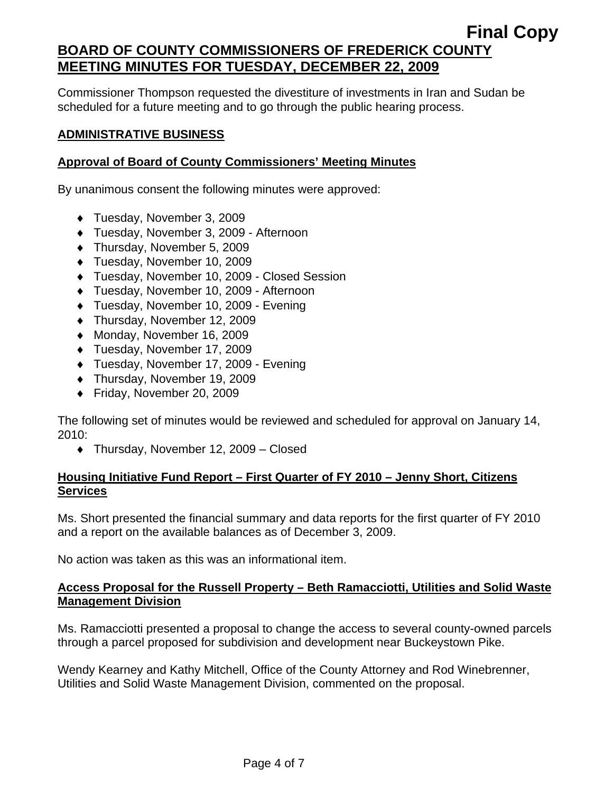Commissioner Thompson requested the divestiture of investments in Iran and Sudan be scheduled for a future meeting and to go through the public hearing process.

# **ADMINISTRATIVE BUSINESS**

# **Approval of Board of County Commissioners' Meeting Minutes**

By unanimous consent the following minutes were approved:

- ♦ Tuesday, November 3, 2009
- ♦ Tuesday, November 3, 2009 Afternoon
- ♦ Thursday, November 5, 2009
- ♦ Tuesday, November 10, 2009
- ♦ Tuesday, November 10, 2009 Closed Session
- ♦ Tuesday, November 10, 2009 Afternoon
- ♦ Tuesday, November 10, 2009 Evening
- ♦ Thursday, November 12, 2009
- ♦ Monday, November 16, 2009
- ♦ Tuesday, November 17, 2009
- ♦ Tuesday, November 17, 2009 Evening
- ♦ Thursday, November 19, 2009
- ♦ Friday, November 20, 2009

The following set of minutes would be reviewed and scheduled for approval on January 14, 2010:

♦ Thursday, November 12, 2009 – Closed

## **Housing Initiative Fund Report – First Quarter of FY 2010 – Jenny Short, Citizens Services**

Ms. Short presented the financial summary and data reports for the first quarter of FY 2010 and a report on the available balances as of December 3, 2009.

No action was taken as this was an informational item.

## **Access Proposal for the Russell Property – Beth Ramacciotti, Utilities and Solid Waste Management Division**

Ms. Ramacciotti presented a proposal to change the access to several county-owned parcels through a parcel proposed for subdivision and development near Buckeystown Pike.

Wendy Kearney and Kathy Mitchell, Office of the County Attorney and Rod Winebrenner, Utilities and Solid Waste Management Division, commented on the proposal.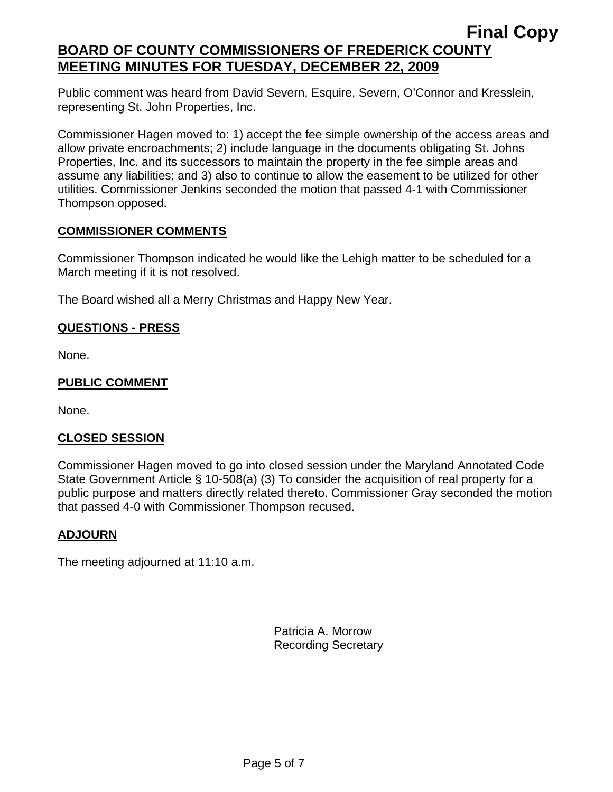Public comment was heard from David Severn, Esquire, Severn, O'Connor and Kresslein, representing St. John Properties, Inc.

Commissioner Hagen moved to: 1) accept the fee simple ownership of the access areas and allow private encroachments; 2) include language in the documents obligating St. Johns Properties, Inc. and its successors to maintain the property in the fee simple areas and assume any liabilities; and 3) also to continue to allow the easement to be utilized for other utilities. Commissioner Jenkins seconded the motion that passed 4-1 with Commissioner Thompson opposed.

## **COMMISSIONER COMMENTS**

Commissioner Thompson indicated he would like the Lehigh matter to be scheduled for a March meeting if it is not resolved.

The Board wished all a Merry Christmas and Happy New Year.

## **QUESTIONS - PRESS**

None.

## **PUBLIC COMMENT**

None.

## **CLOSED SESSION**

Commissioner Hagen moved to go into closed session under the Maryland Annotated Code State Government Article § 10-508(a) (3) To consider the acquisition of real property for a public purpose and matters directly related thereto. Commissioner Gray seconded the motion that passed 4-0 with Commissioner Thompson recused.

## **ADJOURN**

The meeting adjourned at 11:10 a.m.

Patricia A. Morrow Recording Secretary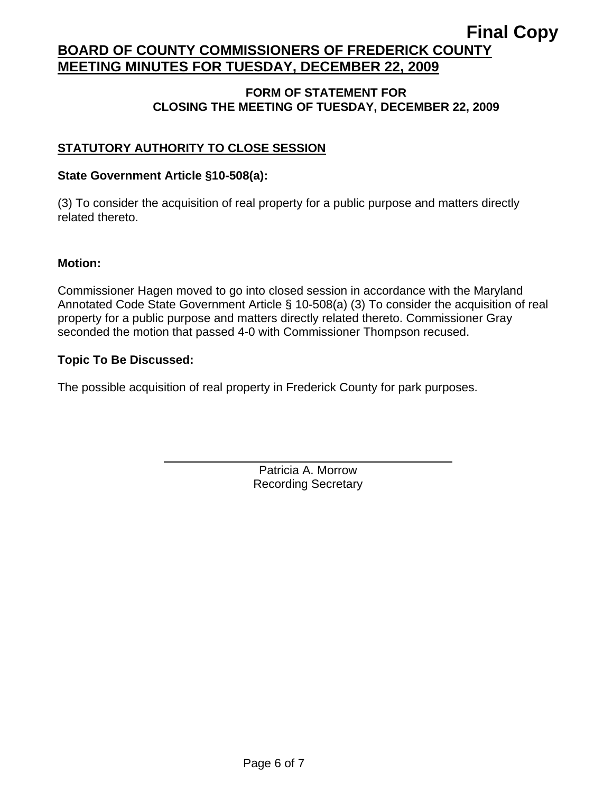### **FORM OF STATEMENT FOR CLOSING THE MEETING OF TUESDAY, DECEMBER 22, 2009**

# **STATUTORY AUTHORITY TO CLOSE SESSION**

### **State Government Article §10-508(a):**

 $\overline{a}$ 

(3) To consider the acquisition of real property for a public purpose and matters directly related thereto.

### **Motion:**

Commissioner Hagen moved to go into closed session in accordance with the Maryland Annotated Code State Government Article § 10-508(a) (3) To consider the acquisition of real property for a public purpose and matters directly related thereto. Commissioner Gray seconded the motion that passed 4-0 with Commissioner Thompson recused.

### **Topic To Be Discussed:**

The possible acquisition of real property in Frederick County for park purposes.

Patricia A. Morrow Recording Secretary